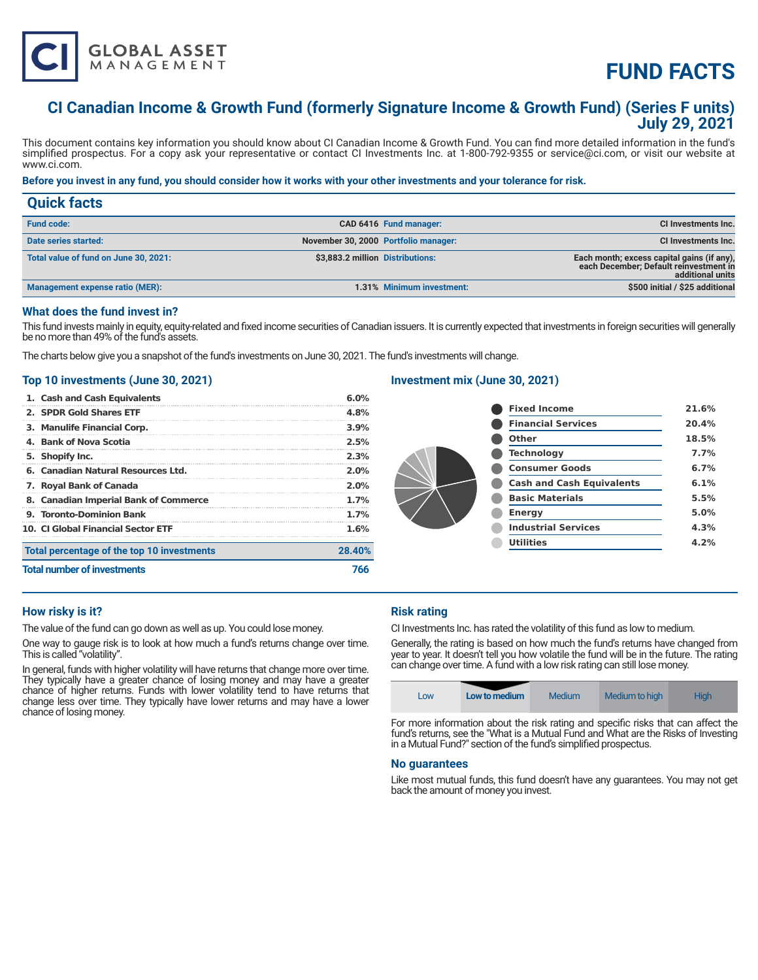

# **FUND FACTS**

# **CI Canadian Income & Growth Fund (formerly Signature Income & Growth Fund) (Series F units) July 29, 2021**

This document contains key information you should know about CI Canadian Income & Growth Fund. You can find more detailed information in the fund's simplified prospectus. For a copy ask your representative or contact CI Investments Inc. at 1-800-792-9355 or service@ci.com, or visit our website at www.ci.com.

# **Before you invest in any fund, you should consider how it works with your other investments and your tolerance for risk.**

| <b>Quick facts</b>                    |                                      |                           |                                                                                                          |
|---------------------------------------|--------------------------------------|---------------------------|----------------------------------------------------------------------------------------------------------|
| <b>Fund code:</b>                     |                                      | CAD 6416 Fund manager:    | CI Investments Inc.                                                                                      |
| Date series started:                  | November 30, 2000 Portfolio manager: |                           | CI Investments Inc.                                                                                      |
| Total value of fund on June 30, 2021: | \$3,883.2 million Distributions:     |                           | Each month; excess capital gains (if any),<br>each December; Default reinvestment in<br>additional units |
| Management expense ratio (MER):       |                                      | 1.31% Minimum investment: | \$500 initial / \$25 additional                                                                          |

## **What does the fund invest in?**

This fund invests mainly in equity, equity-related and fixed income securities of Canadian issuers. It is currently expected that investments in foreign securities will generally be no more than 49% of the fund's assets.

The charts below give you a snapshot of the fund's investments on June 30, 2021. The fund's investments will change.

# **Top 10 investments (June 30, 2021)**

| <b>Total number of investments</b>         | 766    |
|--------------------------------------------|--------|
| Total percentage of the top 10 investments | 28.40% |
| <b>10. CLGlobal Financial Sector ETF</b>   | 1.6%   |
| 9. Toronto-Dominion Bank                   | 1.7%   |
| 8. Canadian Imperial Bank of Commerce      | 1.7%   |
| 7. Royal Bank of Canada                    | 2.0%   |
| 6. Canadian Natural Resources Ltd.         | 2.0%   |
| 5. Shopify Inc.                            | 2.3%   |
| 4. Bank of Nova Scotia                     | 2.5%   |
| 3. Manulife Financial Corp.                | 3.9%   |
| 2. SPDR Gold Shares ETF                    | 4.8%   |
| 1. Cash and Cash Equivalents               | 6.0%   |

# **Investment mix (June 30, 2021)**

| <b>Fixed Income</b>              | 21.6% |
|----------------------------------|-------|
| <b>Financial Services</b>        | 20.4% |
| Other                            | 18.5% |
| <b>Technology</b>                | 7.7%  |
| <b>Consumer Goods</b>            | 6.7%  |
| <b>Cash and Cash Equivalents</b> | 6.1%  |
| <b>Basic Materials</b>           | 5.5%  |
| <b>Energy</b>                    | 5.0%  |
| <b>Industrial Services</b>       | 4.3%  |
| <b>Utilities</b>                 | 4.2%  |
|                                  |       |

# **How risky is it?**

The value of the fund can go down as well as up. You could lose money.

One way to gauge risk is to look at how much a fund's returns change over time. This is called "volatility".

In general, funds with higher volatility will have returns that change more over time. They typically have a greater chance of losing money and may have a greater chance of higher returns. Funds with lower volatility tend to have returns that change less over time. They typically have lower returns and may have a lower chance of losing money.

# **Risk rating**

CI Investments Inc. has rated the volatility of this fund as low to medium.

Generally, the rating is based on how much the fund's returns have changed from year to year. It doesn't tell you how volatile the fund will be in the future. The rating can change over time. A fund with a low risk rating can still lose money.



For more information about the risk rating and specific risks that can affect the fund's returns, see the "What is a Mutual Fund and What are the Risks of Investing in a Mutual Fund?" section of the fund's simplified prospectus.

#### **No guarantees**

Like most mutual funds, this fund doesn't have any guarantees. You may not get back the amount of money you invest.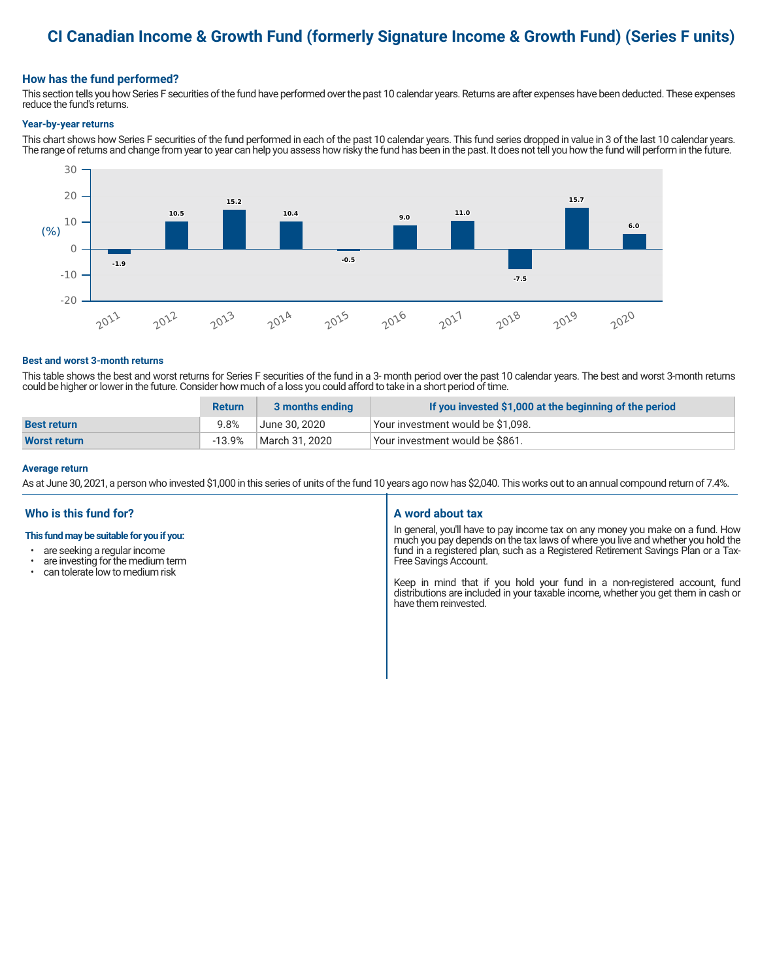# **CI Canadian Income & Growth Fund (formerly Signature Income & Growth Fund) (Series F units)**

# **How has the fund performed?**

This section tells you how Series F securities of the fund have performed over the past 10 calendar years. Returns are after expenses have been deducted. These expenses reduce the fund's returns.

#### **Year-by-year returns**

This chart shows how Series F securities of the fund performed in each of the past 10 calendar years. This fund series dropped in value in 3 of the last 10 calendar years. The range of returns and change from year to year can help you assess how risky the fund has been in the past. It does not tell you how the fund will perform in the future.



#### **Best and worst 3-month returns**

This table shows the best and worst returns for Series F securities of the fund in a 3- month period over the past 10 calendar years. The best and worst 3-month returns could be higher or lower in the future. Consider how much of a loss you could afford to take in a short period of time.

|                     | <b>Return</b> | 3 months ending | If you invested \$1,000 at the beginning of the period |
|---------------------|---------------|-----------------|--------------------------------------------------------|
| <b>Best return</b>  | 9.8%          | ا June 30. 2020 | Your investment would be \$1,098.                      |
| <b>Worst return</b> | $-13.9%$      | March 31, 2020  | Vour investment would be \$861.                        |

#### **Average return**

As at June 30, 2021, a person who invested \$1,000 in this series of units of the fund 10 years ago now has \$2,040. This works out to an annual compound return of 7.4%.

# **Who is this fund for?**

## **This fund may be suitable for you if you:**

- are seeking a regular income
- are investing for the medium term<br>• can telerate low to medium risk
- can tolerate low to medium risk

#### **A word about tax**

In general, you'll have to pay income tax on any money you make on a fund. How much you pay depends on the tax laws of where you live and whether you hold the fund in a registered plan, such as a Registered Retirement Savings Plan or a Tax-Free Savings Account.

Keep in mind that if you hold your fund in a non-registered account, fund distributions are included in your taxable income, whether you get them in cash or have them reinvested.